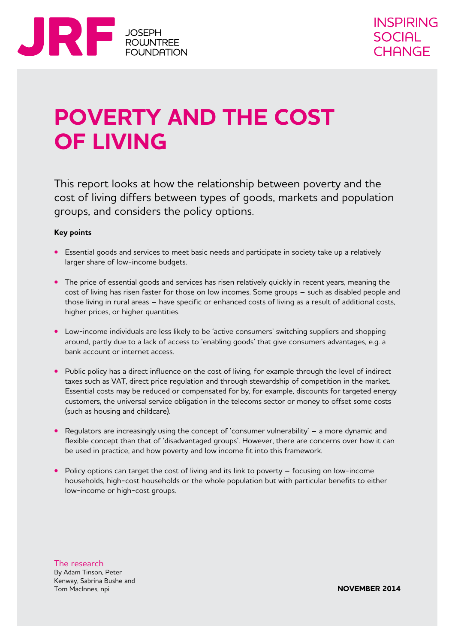

# **POVERTY AND THE COST of living**

This report looks at how the relationship between poverty and the cost of living differs between types of goods, markets and population groups, and considers the policy options.

#### **Key points**

- **•** Essential goods and services to meet basic needs and participate in society take up a relatively larger share of low-income budgets.
- **•** The price of essential goods and services has risen relatively quickly in recent years, meaning the cost of living has risen faster for those on low incomes. Some groups – such as disabled people and those living in rural areas – have specific or enhanced costs of living as a result of additional costs, higher prices, or higher quantities.
- **•**  Low-income individuals are less likely to be 'active consumers' switching suppliers and shopping around, partly due to a lack of access to 'enabling goods' that give consumers advantages, e.g. a bank account or internet access.
- Public policy has a direct influence on the cost of living, for example through the level of indirect taxes such as VAT, direct price regulation and through stewardship of competition in the market. Essential costs may be reduced or compensated for by, for example, discounts for targeted energy customers, the universal service obligation in the telecoms sector or money to offset some costs (such as housing and childcare).
- Regulators are increasingly using the concept of 'consumer vulnerability' a more dynamic and flexible concept than that of 'disadvantaged groups'. However, there are concerns over how it can be used in practice, and how poverty and low income fit into this framework.
- Policy options can target the cost of living and its link to poverty focusing on low-income households, high-cost households or the whole population but with particular benefits to either low-income or high-cost groups.

The research By Adam Tinson, Peter Kenway, Sabrina Bushe and Tom MacInnes, npi

**november 2014**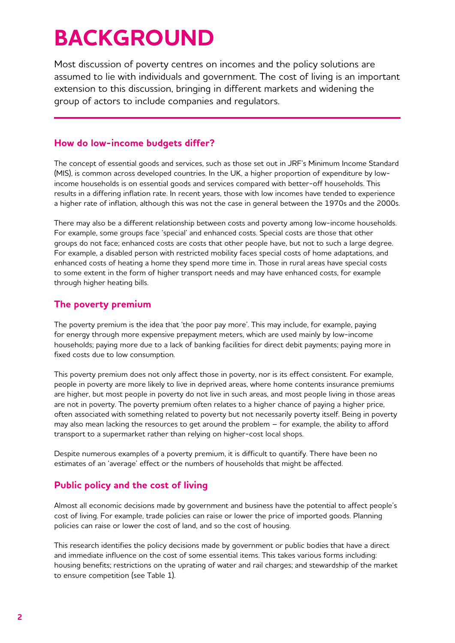# **BACKGROUND**

Most discussion of poverty centres on incomes and the policy solutions are assumed to lie with individuals and government. The cost of living is an important extension to this discussion, bringing in different markets and widening the group of actors to include companies and regulators.

### **How do low-income budgets differ?**

The concept of essential goods and services, such as those set out in JRF's Minimum Income Standard (MIS), is common across developed countries. In the UK, a higher proportion of expenditure by lowincome households is on essential goods and services compared with better-off households. This results in a differing inflation rate. In recent years, those with low incomes have tended to experience a higher rate of inflation, although this was not the case in general between the 1970s and the 2000s.

There may also be a different relationship between costs and poverty among low-income households. For example, some groups face 'special' and enhanced costs. Special costs are those that other groups do not face; enhanced costs are costs that other people have, but not to such a large degree. For example, a disabled person with restricted mobility faces special costs of home adaptations, and enhanced costs of heating a home they spend more time in. Those in rural areas have special costs to some extent in the form of higher transport needs and may have enhanced costs, for example through higher heating bills.

## **The poverty premium**

The poverty premium is the idea that 'the poor pay more'. This may include, for example, paying for energy through more expensive prepayment meters, which are used mainly by low-income households; paying more due to a lack of banking facilities for direct debit payments; paying more in fixed costs due to low consumption.

This poverty premium does not only affect those in poverty, nor is its effect consistent. For example, people in poverty are more likely to live in deprived areas, where home contents insurance premiums are higher, but most people in poverty do not live in such areas, and most people living in those areas are not in poverty. The poverty premium often relates to a higher chance of paying a higher price, often associated with something related to poverty but not necessarily poverty itself. Being in poverty may also mean lacking the resources to get around the problem – for example, the ability to afford transport to a supermarket rather than relying on higher-cost local shops.

Despite numerous examples of a poverty premium, it is difficult to quantify. There have been no estimates of an 'average' effect or the numbers of households that might be affected.

## **Public policy and the cost of living**

Almost all economic decisions made by government and business have the potential to affect people's cost of living. For example, trade policies can raise or lower the price of imported goods. Planning policies can raise or lower the cost of land, and so the cost of housing.

This research identifies the policy decisions made by government or public bodies that have a direct and immediate influence on the cost of some essential items. This takes various forms including: housing benefits; restrictions on the uprating of water and rail charges; and stewardship of the market to ensure competition (see Table 1).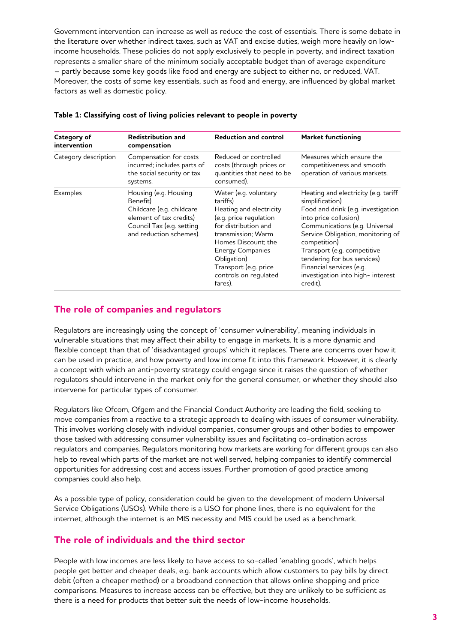Government intervention can increase as well as reduce the cost of essentials. There is some debate in the literature over whether indirect taxes, such as VAT and excise duties, weigh more heavily on lowincome households. These policies do not apply exclusively to people in poverty, and indirect taxation represents a smaller share of the minimum socially acceptable budget than of average expenditure – partly because some key goods like food and energy are subject to either no, or reduced, VAT. Moreover, the costs of some key essentials, such as food and energy, are influenced by global market factors as well as domestic policy.

| Category of<br>intervention | <b>Redistribution and</b><br>compensation                                                                                                         | <b>Reduction and control</b>                                                                                                                                                                                                                                       | <b>Market functioning</b>                                                                                                                                                                                                                                                                                                                               |
|-----------------------------|---------------------------------------------------------------------------------------------------------------------------------------------------|--------------------------------------------------------------------------------------------------------------------------------------------------------------------------------------------------------------------------------------------------------------------|---------------------------------------------------------------------------------------------------------------------------------------------------------------------------------------------------------------------------------------------------------------------------------------------------------------------------------------------------------|
| Category description        | Compensation for costs<br>incurred; includes parts of<br>the social security or tax<br>systems.                                                   | Reduced or controlled<br>costs (through prices or<br>quantities that need to be<br>consumed).                                                                                                                                                                      | Measures which ensure the<br>competitiveness and smooth<br>operation of various markets.                                                                                                                                                                                                                                                                |
| <b>Examples</b>             | Housing (e.g. Housing<br>Benefit)<br>Childcare (e.g. childcare<br>element of tax credits)<br>Council Tax (e.g. setting<br>and reduction schemes). | Water (e.g. voluntary<br>tariffs)<br>Heating and electricity<br>(e.g. price regulation<br>for distribution and<br>transmission; Warm<br>Homes Discount: the<br><b>Energy Companies</b><br>Obligation)<br>Transport (e.g. price<br>controls on regulated<br>fares). | Heating and electricity (e.g. tariff<br>simplification)<br>Food and drink (e.g. investigation<br>into price collusion)<br>Communications (e.g. Universal<br>Service Obligation, monitoring of<br>competition)<br>Transport (e.g. competitive<br>tendering for bus services)<br>Financial services (e.g.<br>investigation into high-interest<br>credit). |

#### **Table 1: Classifying cost of living policies relevant to people in poverty**

#### **The role of companies and regulators**

Regulators are increasingly using the concept of 'consumer vulnerability', meaning individuals in vulnerable situations that may affect their ability to engage in markets. It is a more dynamic and flexible concept than that of 'disadvantaged groups' which it replaces. There are concerns over how it can be used in practice, and how poverty and low income fit into this framework. However, it is clearly a concept with which an anti-poverty strategy could engage since it raises the question of whether regulators should intervene in the market only for the general consumer, or whether they should also intervene for particular types of consumer.

Regulators like Ofcom, Ofgem and the Financial Conduct Authority are leading the field, seeking to move companies from a reactive to a strategic approach to dealing with issues of consumer vulnerability. This involves working closely with individual companies, consumer groups and other bodies to empower those tasked with addressing consumer vulnerability issues and facilitating co-ordination across regulators and companies. Regulators monitoring how markets are working for different groups can also help to reveal which parts of the market are not well served, helping companies to identify commercial opportunities for addressing cost and access issues. Further promotion of good practice among companies could also help.

As a possible type of policy, consideration could be given to the development of modern Universal Service Obligations (USOs). While there is a USO for phone lines, there is no equivalent for the internet, although the internet is an MIS necessity and MIS could be used as a benchmark.

#### **The role of individuals and the third sector**

People with low incomes are less likely to have access to so-called 'enabling goods', which helps people get better and cheaper deals, e.g. bank accounts which allow customers to pay bills by direct debit (often a cheaper method) or a broadband connection that allows online shopping and price comparisons. Measures to increase access can be effective, but they are unlikely to be sufficient as there is a need for products that better suit the needs of low-income households.